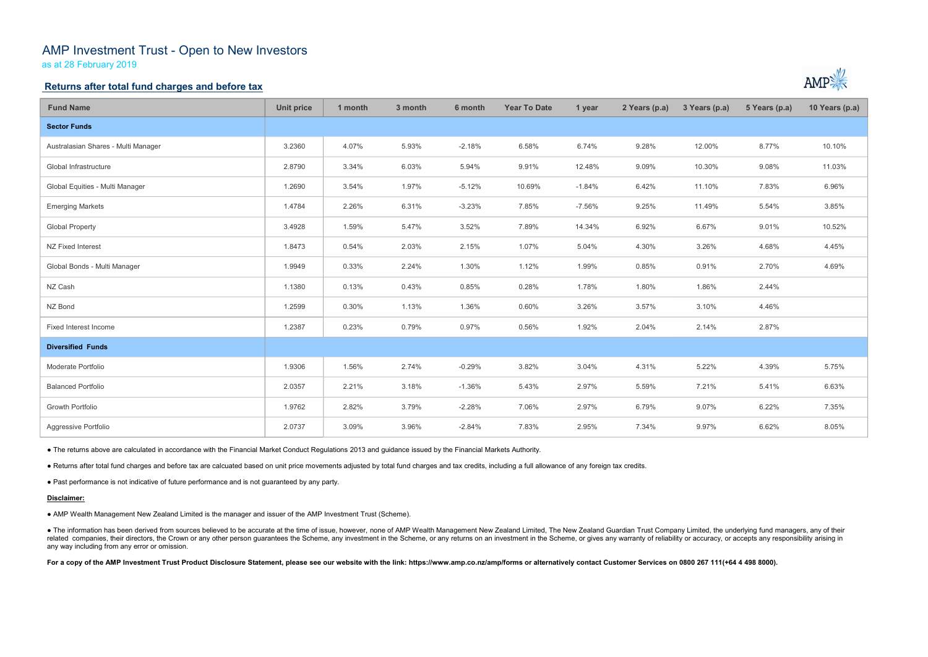# AMP Investment Trust - Open to New Investors

as at 28 February 2019

## Returns after total fund charges and before tax

| <b>Fund Name</b>                                                                                                                                                                                                                                                                                                                                                                                                                                                                                                 | <b>Unit price</b> | 1 month | 3 month | 6 month  | <b>Year To Date</b> | 1 year   | 2 Years (p.a) | 3 Years (p.a) | 5 Years (p.a) | 10 Years (p.a) |
|------------------------------------------------------------------------------------------------------------------------------------------------------------------------------------------------------------------------------------------------------------------------------------------------------------------------------------------------------------------------------------------------------------------------------------------------------------------------------------------------------------------|-------------------|---------|---------|----------|---------------------|----------|---------------|---------------|---------------|----------------|
| <b>Sector Funds</b>                                                                                                                                                                                                                                                                                                                                                                                                                                                                                              |                   |         |         |          |                     |          |               |               |               |                |
| Australasian Shares - Multi Manager                                                                                                                                                                                                                                                                                                                                                                                                                                                                              | 3.2360            | 4.07%   | 5.93%   | $-2.18%$ | 6.58%               | 6.74%    | 9.28%         | 12.00%        | 8.77%         | 10.10%         |
| Global Infrastructure                                                                                                                                                                                                                                                                                                                                                                                                                                                                                            | 2.8790            | 3.34%   | 6.03%   | 5.94%    | 9.91%               | 12.48%   | 9.09%         | 10.30%        | 9.08%         | 11.03%         |
| Global Equities - Multi Manager                                                                                                                                                                                                                                                                                                                                                                                                                                                                                  | 1.2690            | 3.54%   | 1.97%   | $-5.12%$ | 10.69%              | $-1.84%$ | 6.42%         | 11.10%        | 7.83%         | 6.96%          |
| <b>Emerging Markets</b>                                                                                                                                                                                                                                                                                                                                                                                                                                                                                          | 1.4784            | 2.26%   | 6.31%   | $-3.23%$ | 7.85%               | $-7.56%$ | 9.25%         | 11.49%        | 5.54%         | 3.85%          |
| <b>Global Property</b>                                                                                                                                                                                                                                                                                                                                                                                                                                                                                           | 3.4928            | 1.59%   | 5.47%   | 3.52%    | 7.89%               | 14.34%   | 6.92%         | 6.67%         | 9.01%         | 10.52%         |
| NZ Fixed Interest                                                                                                                                                                                                                                                                                                                                                                                                                                                                                                | 1.8473            | 0.54%   | 2.03%   | 2.15%    | 1.07%               | 5.04%    | 4.30%         | 3.26%         | 4.68%         | 4.45%          |
| Global Bonds - Multi Manager                                                                                                                                                                                                                                                                                                                                                                                                                                                                                     | 1.9949            | 0.33%   | 2.24%   | 1.30%    | 1.12%               | 1.99%    | 0.85%         | 0.91%         | 2.70%         | 4.69%          |
| NZ Cash                                                                                                                                                                                                                                                                                                                                                                                                                                                                                                          | 1.1380            | 0.13%   | 0.43%   | 0.85%    | 0.28%               | 1.78%    | 1.80%         | 1.86%         | 2.44%         |                |
| NZ Bond                                                                                                                                                                                                                                                                                                                                                                                                                                                                                                          | 1.2599            | 0.30%   | 1.13%   | 1.36%    | 0.60%               | 3.26%    | 3.57%         | 3.10%         | 4.46%         |                |
| Fixed Interest Income                                                                                                                                                                                                                                                                                                                                                                                                                                                                                            | 1.2387            | 0.23%   | 0.79%   | 0.97%    | 0.56%               | 1.92%    | 2.04%         | 2.14%         | 2.87%         |                |
| <b>Diversified Funds</b>                                                                                                                                                                                                                                                                                                                                                                                                                                                                                         |                   |         |         |          |                     |          |               |               |               |                |
| Moderate Portfolio                                                                                                                                                                                                                                                                                                                                                                                                                                                                                               | 1.9306            | 1.56%   | 2.74%   | $-0.29%$ | 3.82%               | 3.04%    | 4.31%         | 5.22%         | 4.39%         | 5.75%          |
| <b>Balanced Portfolio</b>                                                                                                                                                                                                                                                                                                                                                                                                                                                                                        | 2.0357            | 2.21%   | 3.18%   | $-1.36%$ | 5.43%               | 2.97%    | 5.59%         | 7.21%         | 5.41%         | 6.63%          |
| Growth Portfolio                                                                                                                                                                                                                                                                                                                                                                                                                                                                                                 | 1.9762            | 2.82%   | 3.79%   | $-2.28%$ | 7.06%               | 2.97%    | 6.79%         | 9.07%         | 6.22%         | 7.35%          |
| Aggressive Portfolio                                                                                                                                                                                                                                                                                                                                                                                                                                                                                             | 2.0737            | 3.09%   | 3.96%   | $-2.84%$ | 7.83%               | 2.95%    | 7.34%         | 9.97%         | 6.62%         | 8.05%          |
| • The returns above are calculated in accordance with the Financial Market Conduct Regulations 2013 and guidance issued by the Financial Markets Authority.                                                                                                                                                                                                                                                                                                                                                      |                   |         |         |          |                     |          |               |               |               |                |
| . Returns after total fund charges and before tax are calcuated based on unit price movements adjusted by total fund charges and tax credits, including a full allowance of any foreign tax credits.                                                                                                                                                                                                                                                                                                             |                   |         |         |          |                     |          |               |               |               |                |
| . Past performance is not indicative of future performance and is not guaranteed by any party.                                                                                                                                                                                                                                                                                                                                                                                                                   |                   |         |         |          |                     |          |               |               |               |                |
| Disclaimer:                                                                                                                                                                                                                                                                                                                                                                                                                                                                                                      |                   |         |         |          |                     |          |               |               |               |                |
| • AMP Wealth Management New Zealand Limited is the manager and issuer of the AMP Investment Trust (Scheme).                                                                                                                                                                                                                                                                                                                                                                                                      |                   |         |         |          |                     |          |               |               |               |                |
| • The information has been derived from sources believed to be accurate at the time of issue, however, none of AMP Wealth Management New Zealand Limited, The New Zealand Guardian Trust Company Limited, the underlying fund<br>related companies, their directors, the Crown or any other person guarantees the Scheme, any investment in the Scheme, or any returns on an investment in the Scheme, or gives any warranty of reliability or accuracy, or acc<br>any way including from any error or omission. |                   |         |         |          |                     |          |               |               |               |                |
| For a copy of the AMP Investment Trust Product Disclosure Statement, please see our website with the link: https://www.amp.co.nz/amp/forms or alternatively contact Customer Services on 0800 267 111(+64 4 498 8000).                                                                                                                                                                                                                                                                                           |                   |         |         |          |                     |          |               |               |               |                |
|                                                                                                                                                                                                                                                                                                                                                                                                                                                                                                                  |                   |         |         |          |                     |          |               |               |               |                |



#### Disclaimer: